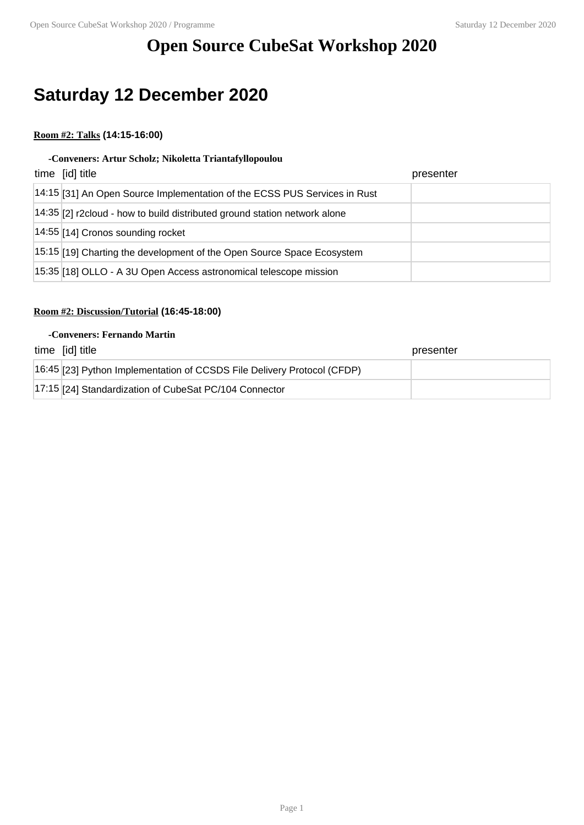# **Open Source CubeSat Workshop 2020**

# **Saturday 12 December 2020**

## **Room #2: Talks (14:15-16:00)**

#### **-Conveners: Artur Scholz; Nikoletta Triantafyllopoulou**

| time [id] title                                                           | presenter |
|---------------------------------------------------------------------------|-----------|
| 14:15 [31] An Open Source Implementation of the ECSS PUS Services in Rust |           |
| 14:35 [2] r2cloud - how to build distributed ground station network alone |           |
| 14:55 [14] Cronos sounding rocket                                         |           |
| 15:15 [19] Charting the development of the Open Source Space Ecosystem    |           |
| 15:35 [18] OLLO - A 3U Open Access astronomical telescope mission         |           |

### **Room #2: Discussion/Tutorial (16:45-18:00)**

#### **-Conveners: Fernando Martin**

| time [id] title                                                         | presenter |
|-------------------------------------------------------------------------|-----------|
| 16:45 [23] Python Implementation of CCSDS File Delivery Protocol (CFDP) |           |
| 17:15 [24] Standardization of CubeSat PC/104 Connector                  |           |